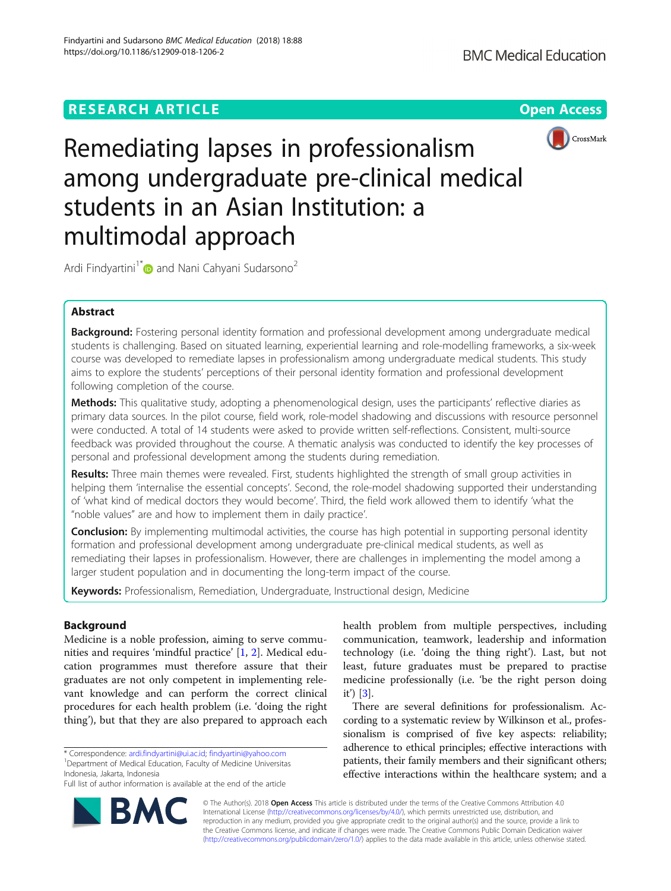# **RESEARCH ARTICLE Example 2018 CONSIDERING A RESEARCH ARTICLE**





Remediating lapses in professionalism among undergraduate pre-clinical medical students in an Asian Institution: a multimodal approach

Ardi Findyartini<sup>1[\\*](http://orcid.org/0000-0002-9601-3994)</sup> and Nani Cahyani Sudarsono<sup>2</sup>

# Abstract

Background: Fostering personal identity formation and professional development among undergraduate medical students is challenging. Based on situated learning, experiential learning and role-modelling frameworks, a six-week course was developed to remediate lapses in professionalism among undergraduate medical students. This study aims to explore the students' perceptions of their personal identity formation and professional development following completion of the course.

Methods: This qualitative study, adopting a phenomenological design, uses the participants' reflective diaries as primary data sources. In the pilot course, field work, role-model shadowing and discussions with resource personnel were conducted. A total of 14 students were asked to provide written self-reflections. Consistent, multi-source feedback was provided throughout the course. A thematic analysis was conducted to identify the key processes of personal and professional development among the students during remediation.

Results: Three main themes were revealed. First, students highlighted the strength of small group activities in helping them 'internalise the essential concepts'. Second, the role-model shadowing supported their understanding of 'what kind of medical doctors they would become'. Third, the field work allowed them to identify 'what the "noble values" are and how to implement them in daily practice'.

**Conclusion:** By implementing multimodal activities, the course has high potential in supporting personal identity formation and professional development among undergraduate pre-clinical medical students, as well as remediating their lapses in professionalism. However, there are challenges in implementing the model among a larger student population and in documenting the long-term impact of the course.

Keywords: Professionalism, Remediation, Undergraduate, Instructional design, Medicine

# Background

Medicine is a noble profession, aiming to serve communities and requires 'mindful practice' [\[1,](#page-8-0) [2](#page-8-0)]. Medical education programmes must therefore assure that their graduates are not only competent in implementing relevant knowledge and can perform the correct clinical procedures for each health problem (i.e. 'doing the right thing'), but that they are also prepared to approach each

Department of Medical Education, Faculty of Medicine Universitas Indonesia, Jakarta, Indonesia

Full list of author information is available at the end of the article



health problem from multiple perspectives, including communication, teamwork, leadership and information technology (i.e. 'doing the thing right'). Last, but not least, future graduates must be prepared to practise medicine professionally (i.e. 'be the right person doing it') [[3\]](#page-8-0).

There are several definitions for professionalism. According to a systematic review by Wilkinson et al., professionalism is comprised of five key aspects: reliability; adherence to ethical principles; effective interactions with patients, their family members and their significant others; effective interactions within the healthcare system; and a

© The Author(s). 2018 Open Access This article is distributed under the terms of the Creative Commons Attribution 4.0 International License [\(http://creativecommons.org/licenses/by/4.0/](http://creativecommons.org/licenses/by/4.0/)), which permits unrestricted use, distribution, and reproduction in any medium, provided you give appropriate credit to the original author(s) and the source, provide a link to the Creative Commons license, and indicate if changes were made. The Creative Commons Public Domain Dedication waiver [\(http://creativecommons.org/publicdomain/zero/1.0/](http://creativecommons.org/publicdomain/zero/1.0/)) applies to the data made available in this article, unless otherwise stated.

<sup>\*</sup> Correspondence: [ardi.findyartini@ui.ac.id](mailto:ardi.findyartini@ui.ac.id); [findyartini@yahoo.com](mailto:findyartini@yahoo.com) <sup>1</sup>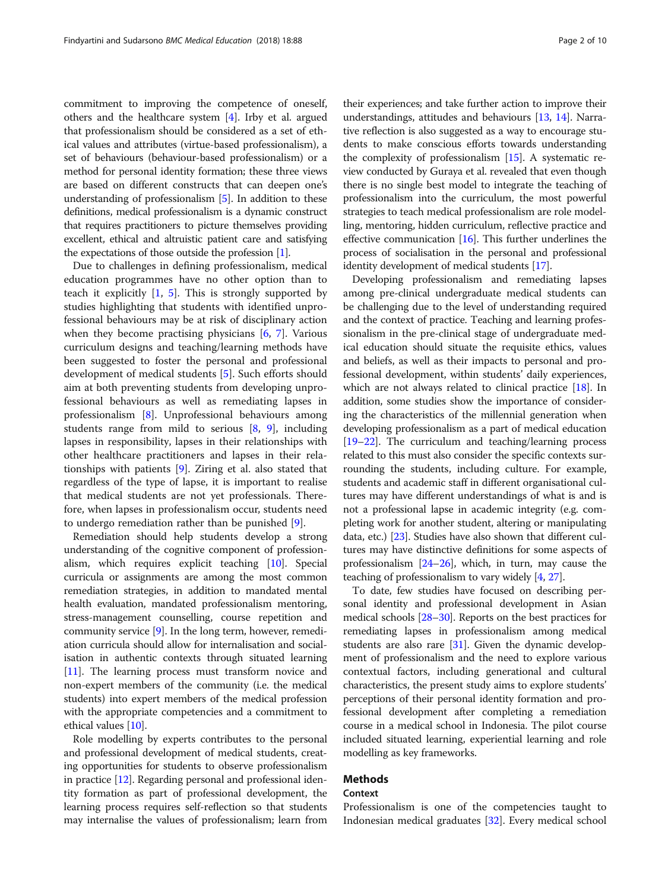commitment to improving the competence of oneself, others and the healthcare system [[4\]](#page-8-0). Irby et al. argued that professionalism should be considered as a set of ethical values and attributes (virtue-based professionalism), a set of behaviours (behaviour-based professionalism) or a method for personal identity formation; these three views are based on different constructs that can deepen one's understanding of professionalism [\[5\]](#page-8-0). In addition to these definitions, medical professionalism is a dynamic construct that requires practitioners to picture themselves providing excellent, ethical and altruistic patient care and satisfying the expectations of those outside the profession  $[1]$ .

Due to challenges in defining professionalism, medical education programmes have no other option than to teach it explicitly  $[1, 5]$  $[1, 5]$  $[1, 5]$  $[1, 5]$  $[1, 5]$ . This is strongly supported by studies highlighting that students with identified unprofessional behaviours may be at risk of disciplinary action when they become practising physicians  $[6, 7]$  $[6, 7]$  $[6, 7]$  $[6, 7]$  $[6, 7]$ . Various curriculum designs and teaching/learning methods have been suggested to foster the personal and professional development of medical students [\[5](#page-8-0)]. Such efforts should aim at both preventing students from developing unprofessional behaviours as well as remediating lapses in professionalism [\[8](#page-8-0)]. Unprofessional behaviours among students range from mild to serious [\[8](#page-8-0), [9\]](#page-8-0), including lapses in responsibility, lapses in their relationships with other healthcare practitioners and lapses in their relationships with patients [[9\]](#page-8-0). Ziring et al. also stated that regardless of the type of lapse, it is important to realise that medical students are not yet professionals. Therefore, when lapses in professionalism occur, students need to undergo remediation rather than be punished [\[9](#page-8-0)].

Remediation should help students develop a strong understanding of the cognitive component of professionalism, which requires explicit teaching [\[10\]](#page-9-0). Special curricula or assignments are among the most common remediation strategies, in addition to mandated mental health evaluation, mandated professionalism mentoring, stress-management counselling, course repetition and community service [\[9](#page-8-0)]. In the long term, however, remediation curricula should allow for internalisation and socialisation in authentic contexts through situated learning [[11](#page-9-0)]. The learning process must transform novice and non-expert members of the community (i.e. the medical students) into expert members of the medical profession with the appropriate competencies and a commitment to ethical values [[10](#page-9-0)].

Role modelling by experts contributes to the personal and professional development of medical students, creating opportunities for students to observe professionalism in practice [[12](#page-9-0)]. Regarding personal and professional identity formation as part of professional development, the learning process requires self-reflection so that students may internalise the values of professionalism; learn from

their experiences; and take further action to improve their understandings, attitudes and behaviours [\[13,](#page-9-0) [14](#page-9-0)]. Narrative reflection is also suggested as a way to encourage students to make conscious efforts towards understanding the complexity of professionalism [\[15\]](#page-9-0). A systematic review conducted by Guraya et al. revealed that even though there is no single best model to integrate the teaching of professionalism into the curriculum, the most powerful strategies to teach medical professionalism are role modelling, mentoring, hidden curriculum, reflective practice and effective communication [\[16\]](#page-9-0). This further underlines the process of socialisation in the personal and professional identity development of medical students [\[17\]](#page-9-0).

Developing professionalism and remediating lapses among pre-clinical undergraduate medical students can be challenging due to the level of understanding required and the context of practice. Teaching and learning professionalism in the pre-clinical stage of undergraduate medical education should situate the requisite ethics, values and beliefs, as well as their impacts to personal and professional development, within students' daily experiences, which are not always related to clinical practice  $[18]$ . In addition, some studies show the importance of considering the characteristics of the millennial generation when developing professionalism as a part of medical education [[19](#page-9-0)–[22\]](#page-9-0). The curriculum and teaching/learning process related to this must also consider the specific contexts surrounding the students, including culture. For example, students and academic staff in different organisational cultures may have different understandings of what is and is not a professional lapse in academic integrity (e.g. completing work for another student, altering or manipulating data, etc.) [[23](#page-9-0)]. Studies have also shown that different cultures may have distinctive definitions for some aspects of professionalism  $[24-26]$  $[24-26]$  $[24-26]$  $[24-26]$ , which, in turn, may cause the teaching of professionalism to vary widely [\[4](#page-8-0), [27](#page-9-0)].

To date, few studies have focused on describing personal identity and professional development in Asian medical schools [\[28](#page-9-0)–[30](#page-9-0)]. Reports on the best practices for remediating lapses in professionalism among medical students are also rare [\[31\]](#page-9-0). Given the dynamic development of professionalism and the need to explore various contextual factors, including generational and cultural characteristics, the present study aims to explore students' perceptions of their personal identity formation and professional development after completing a remediation course in a medical school in Indonesia. The pilot course included situated learning, experiential learning and role modelling as key frameworks.

# Methods

# Context

Professionalism is one of the competencies taught to Indonesian medical graduates [\[32](#page-9-0)]. Every medical school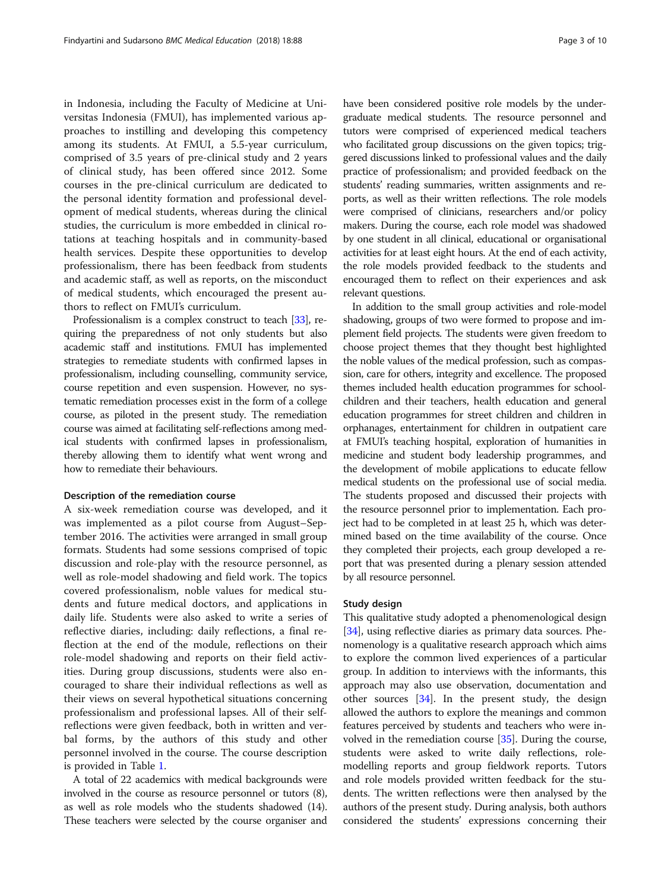in Indonesia, including the Faculty of Medicine at Universitas Indonesia (FMUI), has implemented various approaches to instilling and developing this competency among its students. At FMUI, a 5.5-year curriculum, comprised of 3.5 years of pre-clinical study and 2 years of clinical study, has been offered since 2012. Some courses in the pre-clinical curriculum are dedicated to the personal identity formation and professional development of medical students, whereas during the clinical studies, the curriculum is more embedded in clinical rotations at teaching hospitals and in community-based health services. Despite these opportunities to develop professionalism, there has been feedback from students and academic staff, as well as reports, on the misconduct of medical students, which encouraged the present authors to reflect on FMUI's curriculum.

Professionalism is a complex construct to teach [\[33\]](#page-9-0), requiring the preparedness of not only students but also academic staff and institutions. FMUI has implemented strategies to remediate students with confirmed lapses in professionalism, including counselling, community service, course repetition and even suspension. However, no systematic remediation processes exist in the form of a college course, as piloted in the present study. The remediation course was aimed at facilitating self-reflections among medical students with confirmed lapses in professionalism, thereby allowing them to identify what went wrong and how to remediate their behaviours.

## Description of the remediation course

A six-week remediation course was developed, and it was implemented as a pilot course from August–September 2016. The activities were arranged in small group formats. Students had some sessions comprised of topic discussion and role-play with the resource personnel, as well as role-model shadowing and field work. The topics covered professionalism, noble values for medical students and future medical doctors, and applications in daily life. Students were also asked to write a series of reflective diaries, including: daily reflections, a final reflection at the end of the module, reflections on their role-model shadowing and reports on their field activities. During group discussions, students were also encouraged to share their individual reflections as well as their views on several hypothetical situations concerning professionalism and professional lapses. All of their selfreflections were given feedback, both in written and verbal forms, by the authors of this study and other personnel involved in the course. The course description is provided in Table [1.](#page-3-0)

A total of 22 academics with medical backgrounds were involved in the course as resource personnel or tutors (8), as well as role models who the students shadowed (14). These teachers were selected by the course organiser and have been considered positive role models by the undergraduate medical students. The resource personnel and tutors were comprised of experienced medical teachers who facilitated group discussions on the given topics; triggered discussions linked to professional values and the daily practice of professionalism; and provided feedback on the students' reading summaries, written assignments and reports, as well as their written reflections. The role models were comprised of clinicians, researchers and/or policy makers. During the course, each role model was shadowed by one student in all clinical, educational or organisational activities for at least eight hours. At the end of each activity, the role models provided feedback to the students and encouraged them to reflect on their experiences and ask relevant questions.

In addition to the small group activities and role-model shadowing, groups of two were formed to propose and implement field projects. The students were given freedom to choose project themes that they thought best highlighted the noble values of the medical profession, such as compassion, care for others, integrity and excellence. The proposed themes included health education programmes for schoolchildren and their teachers, health education and general education programmes for street children and children in orphanages, entertainment for children in outpatient care at FMUI's teaching hospital, exploration of humanities in medicine and student body leadership programmes, and the development of mobile applications to educate fellow medical students on the professional use of social media. The students proposed and discussed their projects with the resource personnel prior to implementation. Each project had to be completed in at least 25 h, which was determined based on the time availability of the course. Once they completed their projects, each group developed a report that was presented during a plenary session attended by all resource personnel.

#### Study design

This qualitative study adopted a phenomenological design [[34](#page-9-0)], using reflective diaries as primary data sources. Phenomenology is a qualitative research approach which aims to explore the common lived experiences of a particular group. In addition to interviews with the informants, this approach may also use observation, documentation and other sources [\[34\]](#page-9-0). In the present study, the design allowed the authors to explore the meanings and common features perceived by students and teachers who were involved in the remediation course [[35](#page-9-0)]. During the course, students were asked to write daily reflections, rolemodelling reports and group fieldwork reports. Tutors and role models provided written feedback for the students. The written reflections were then analysed by the authors of the present study. During analysis, both authors considered the students' expressions concerning their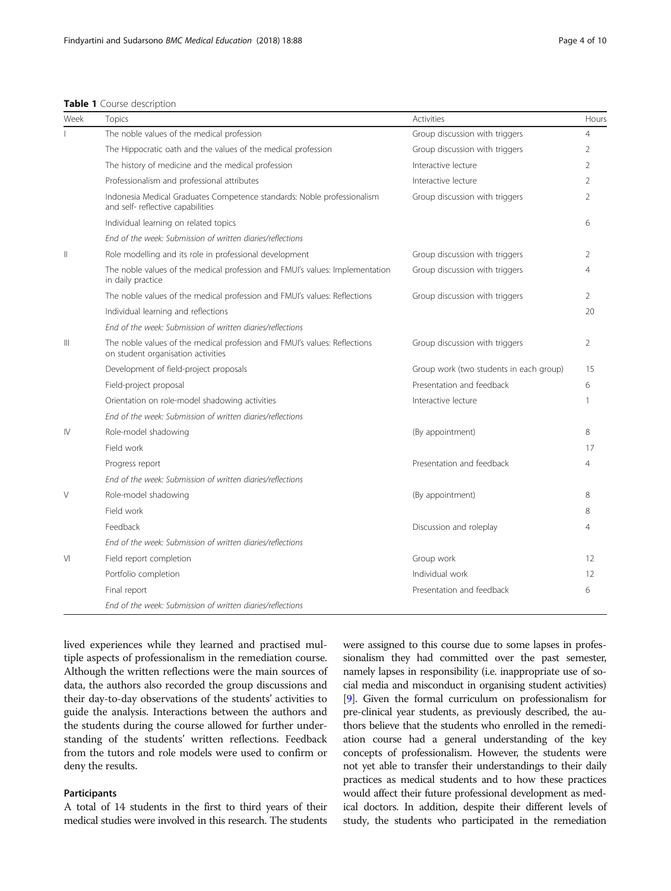## <span id="page-3-0"></span>Table 1 Course description

| Week | <b>Topics</b>                                                                                                   | Activities                              | Hours          |
|------|-----------------------------------------------------------------------------------------------------------------|-----------------------------------------|----------------|
|      | The noble values of the medical profession                                                                      | Group discussion with triggers          | $\overline{4}$ |
|      | The Hippocratic oath and the values of the medical profession                                                   | Group discussion with triggers          | 2              |
|      | The history of medicine and the medical profession                                                              | Interactive lecture                     | 2              |
|      | Professionalism and professional attributes                                                                     | Interactive lecture                     | $\mathfrak{D}$ |
|      | Indonesia Medical Graduates Competence standards: Noble professionalism<br>and self- reflective capabilities    | Group discussion with triggers          | 2              |
|      | Individual learning on related topics                                                                           |                                         | 6              |
|      | End of the week: Submission of written diaries/reflections                                                      |                                         |                |
| Ш    | Role modelling and its role in professional development                                                         | Group discussion with triggers          | $\mathfrak{D}$ |
|      | The noble values of the medical profession and FMUI's values: Implementation<br>in daily practice               | Group discussion with triggers          | 4              |
|      | The noble values of the medical profession and FMUI's values: Reflections                                       | Group discussion with triggers          | 2              |
|      | Individual learning and reflections                                                                             |                                         | 20             |
|      | End of the week: Submission of written diaries/reflections                                                      |                                         |                |
| Ш    | The noble values of the medical profession and FMUI's values: Reflections<br>on student organisation activities | Group discussion with triggers          | 2              |
|      | Development of field-project proposals                                                                          | Group work (two students in each group) | 15             |
|      | Field-project proposal                                                                                          | Presentation and feedback               | 6              |
|      | Orientation on role-model shadowing activities                                                                  | Interactive lecture                     |                |
|      | End of the week: Submission of written diaries/reflections                                                      |                                         |                |
| IV   | Role-model shadowing                                                                                            | (By appointment)                        | 8              |
|      | Field work                                                                                                      |                                         | 17             |
|      | Progress report                                                                                                 | Presentation and feedback               | 4              |
|      | End of the week: Submission of written diaries/reflections                                                      |                                         |                |
| V    | Role-model shadowing                                                                                            | (By appointment)                        | 8              |
|      | Field work                                                                                                      |                                         | 8              |
|      | Feedback                                                                                                        | Discussion and roleplay                 | 4              |
|      | End of the week: Submission of written diaries/reflections                                                      |                                         |                |
| VI   | Field report completion                                                                                         | Group work                              | 12             |
|      | Portfolio completion                                                                                            | Individual work                         | 12             |
|      | Final report                                                                                                    | Presentation and feedback               | 6              |
|      | End of the week: Submission of written diaries/reflections                                                      |                                         |                |

lived experiences while they learned and practised multiple aspects of professionalism in the remediation course. Although the written reflections were the main sources of data, the authors also recorded the group discussions and their day-to-day observations of the students' activities to guide the analysis. Interactions between the authors and the students during the course allowed for further understanding of the students' written reflections. Feedback from the tutors and role models were used to confirm or deny the results.

# Participants

A total of 14 students in the first to third years of their medical studies were involved in this research. The students were assigned to this course due to some lapses in professionalism they had committed over the past semester, namely lapses in responsibility (i.e. inappropriate use of social media and misconduct in organising student activities) [[9](#page-8-0)]. Given the formal curriculum on professionalism for pre-clinical year students, as previously described, the authors believe that the students who enrolled in the remediation course had a general understanding of the key concepts of professionalism. However, the students were not yet able to transfer their understandings to their daily practices as medical students and to how these practices would affect their future professional development as medical doctors. In addition, despite their different levels of study, the students who participated in the remediation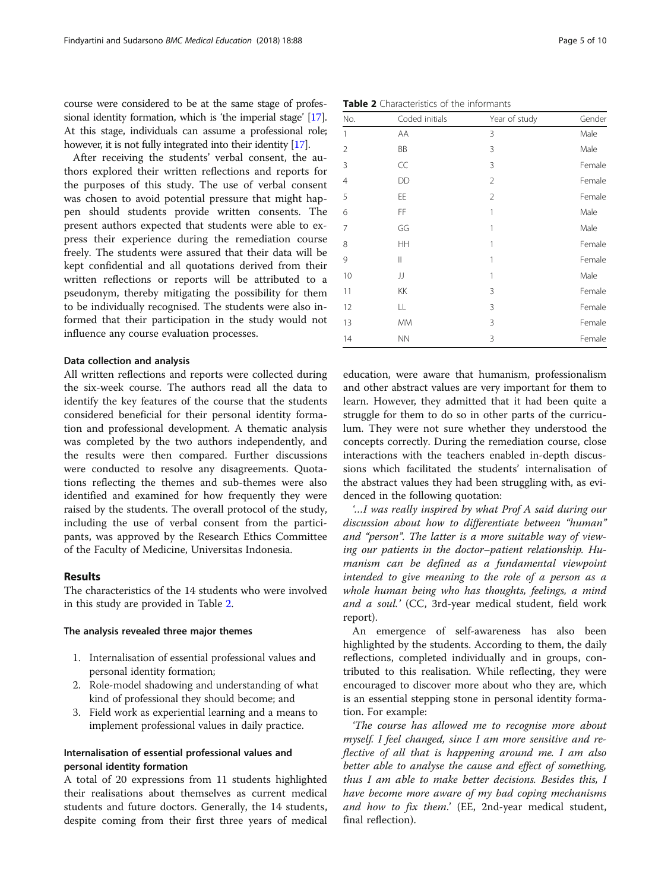course were considered to be at the same stage of professional identity formation, which is 'the imperial stage' [\[17](#page-9-0)]. At this stage, individuals can assume a professional role; however, it is not fully integrated into their identity [\[17\]](#page-9-0).

After receiving the students' verbal consent, the authors explored their written reflections and reports for the purposes of this study. The use of verbal consent was chosen to avoid potential pressure that might happen should students provide written consents. The present authors expected that students were able to express their experience during the remediation course freely. The students were assured that their data will be kept confidential and all quotations derived from their written reflections or reports will be attributed to a pseudonym, thereby mitigating the possibility for them to be individually recognised. The students were also informed that their participation in the study would not influence any course evaluation processes.

## Data collection and analysis

All written reflections and reports were collected during the six-week course. The authors read all the data to identify the key features of the course that the students considered beneficial for their personal identity formation and professional development. A thematic analysis was completed by the two authors independently, and the results were then compared. Further discussions were conducted to resolve any disagreements. Quotations reflecting the themes and sub-themes were also identified and examined for how frequently they were raised by the students. The overall protocol of the study, including the use of verbal consent from the participants, was approved by the Research Ethics Committee of the Faculty of Medicine, Universitas Indonesia.

# Results

The characteristics of the 14 students who were involved in this study are provided in Table 2.

## The analysis revealed three major themes

- 1. Internalisation of essential professional values and personal identity formation;
- 2. Role-model shadowing and understanding of what kind of professional they should become; and
- 3. Field work as experiential learning and a means to implement professional values in daily practice.

# Internalisation of essential professional values and personal identity formation

A total of 20 expressions from 11 students highlighted their realisations about themselves as current medical students and future doctors. Generally, the 14 students, despite coming from their first three years of medical

| <b>Table 2</b> Characteristics of the informants |
|--------------------------------------------------|
|--------------------------------------------------|

| No.            | Coded initials | Year of study  | Gender |
|----------------|----------------|----------------|--------|
| $\mathbf{1}$   | AA             | 3              | Male   |
| $\overline{2}$ | BB             | 3              | Male   |
| 3              | CC             | 3              | Female |
| $\overline{4}$ | DD             | $\overline{2}$ | Female |
| 5              | EE.            | $\overline{2}$ | Female |
| 6              | FF.            | 1              | Male   |
| $\overline{7}$ | GG             | 1              | Male   |
| 8              | HН             | 1              | Female |
| 9              | II             | 1              | Female |
| 10             | JJ             | 1              | Male   |
| 11             | KK             | 3              | Female |
| 12             | LL             | 3              | Female |
| 13             | <b>MM</b>      | 3              | Female |
| 14             | <b>NN</b>      | 3              | Female |

education, were aware that humanism, professionalism and other abstract values are very important for them to learn. However, they admitted that it had been quite a struggle for them to do so in other parts of the curriculum. They were not sure whether they understood the concepts correctly. During the remediation course, close interactions with the teachers enabled in-depth discussions which facilitated the students' internalisation of the abstract values they had been struggling with, as evidenced in the following quotation:

'…I was really inspired by what Prof A said during our discussion about how to differentiate between "human" and "person". The latter is a more suitable way of viewing our patients in the doctor–patient relationship. Humanism can be defined as a fundamental viewpoint intended to give meaning to the role of a person as a whole human being who has thoughts, feelings, a mind and a soul.' (CC, 3rd-year medical student, field work report).

An emergence of self-awareness has also been highlighted by the students. According to them, the daily reflections, completed individually and in groups, contributed to this realisation. While reflecting, they were encouraged to discover more about who they are, which is an essential stepping stone in personal identity formation. For example:

'The course has allowed me to recognise more about myself. I feel changed, since I am more sensitive and reflective of all that is happening around me. I am also better able to analyse the cause and effect of something, thus I am able to make better decisions. Besides this, I have become more aware of my bad coping mechanisms and how to fix them.' (EE, 2nd-year medical student, final reflection).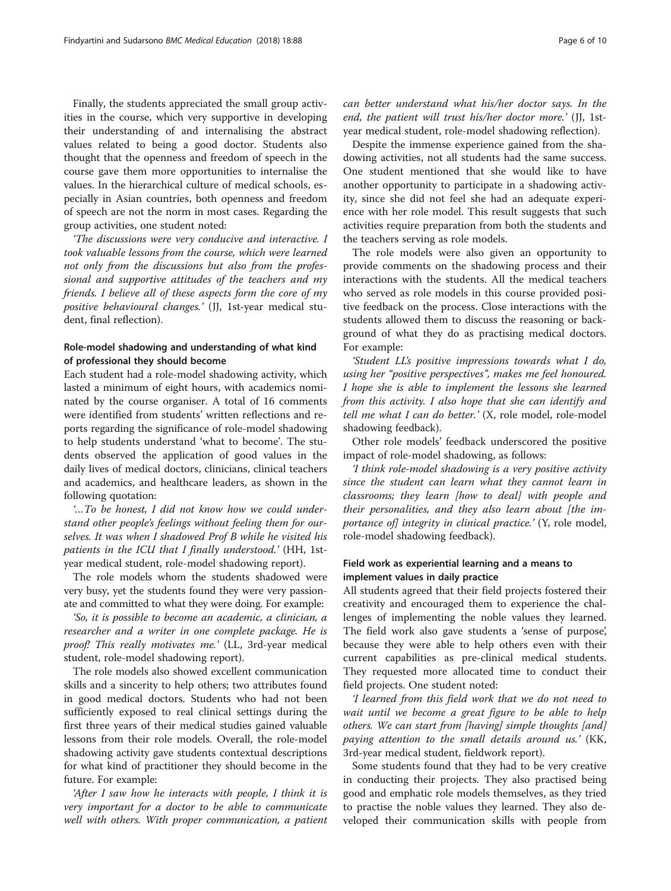Finally, the students appreciated the small group activities in the course, which very supportive in developing their understanding of and internalising the abstract values related to being a good doctor. Students also thought that the openness and freedom of speech in the course gave them more opportunities to internalise the values. In the hierarchical culture of medical schools, especially in Asian countries, both openness and freedom of speech are not the norm in most cases. Regarding the group activities, one student noted:

'The discussions were very conducive and interactive. I took valuable lessons from the course, which were learned not only from the discussions but also from the professional and supportive attitudes of the teachers and my friends. I believe all of these aspects form the core of my positive behavioural changes.' (JJ, 1st-year medical student, final reflection).

# Role-model shadowing and understanding of what kind of professional they should become

Each student had a role-model shadowing activity, which lasted a minimum of eight hours, with academics nominated by the course organiser. A total of 16 comments were identified from students' written reflections and reports regarding the significance of role-model shadowing to help students understand 'what to become'. The students observed the application of good values in the daily lives of medical doctors, clinicians, clinical teachers and academics, and healthcare leaders, as shown in the following quotation:

'…To be honest, I did not know how we could understand other people's feelings without feeling them for ourselves. It was when I shadowed Prof B while he visited his patients in the ICU that I finally understood.' (HH, 1styear medical student, role-model shadowing report).

The role models whom the students shadowed were very busy, yet the students found they were very passionate and committed to what they were doing. For example:

'So, it is possible to become an academic, a clinician, a researcher and a writer in one complete package. He is proof! This really motivates me.' (LL, 3rd-year medical student, role-model shadowing report).

The role models also showed excellent communication skills and a sincerity to help others; two attributes found in good medical doctors. Students who had not been sufficiently exposed to real clinical settings during the first three years of their medical studies gained valuable lessons from their role models. Overall, the role-model shadowing activity gave students contextual descriptions for what kind of practitioner they should become in the future. For example:

'After I saw how he interacts with people, I think it is very important for a doctor to be able to communicate well with others. With proper communication, a patient can better understand what his/her doctor says. In the end, the patient will trust his/her doctor more.' (JJ, 1styear medical student, role-model shadowing reflection).

Despite the immense experience gained from the shadowing activities, not all students had the same success. One student mentioned that she would like to have another opportunity to participate in a shadowing activity, since she did not feel she had an adequate experience with her role model. This result suggests that such activities require preparation from both the students and the teachers serving as role models.

The role models were also given an opportunity to provide comments on the shadowing process and their interactions with the students. All the medical teachers who served as role models in this course provided positive feedback on the process. Close interactions with the students allowed them to discuss the reasoning or background of what they do as practising medical doctors. For example:

'Student LL's positive impressions towards what I do, using her "positive perspectives", makes me feel honoured. I hope she is able to implement the lessons she learned from this activity. I also hope that she can identify and tell me what I can do better.' (X, role model, role-model shadowing feedback).

Other role models' feedback underscored the positive impact of role-model shadowing, as follows:

'I think role-model shadowing is a very positive activity since the student can learn what they cannot learn in classrooms; they learn [how to deal] with people and their personalities, and they also learn about [the importance of integrity in clinical practice.' (Y, role model, role-model shadowing feedback).

# Field work as experiential learning and a means to implement values in daily practice

All students agreed that their field projects fostered their creativity and encouraged them to experience the challenges of implementing the noble values they learned. The field work also gave students a 'sense of purpose', because they were able to help others even with their current capabilities as pre-clinical medical students. They requested more allocated time to conduct their field projects. One student noted:

'I learned from this field work that we do not need to wait until we become a great figure to be able to help others. We can start from [having] simple thoughts [and] paying attention to the small details around us.' (KK, 3rd-year medical student, fieldwork report).

Some students found that they had to be very creative in conducting their projects. They also practised being good and emphatic role models themselves, as they tried to practise the noble values they learned. They also developed their communication skills with people from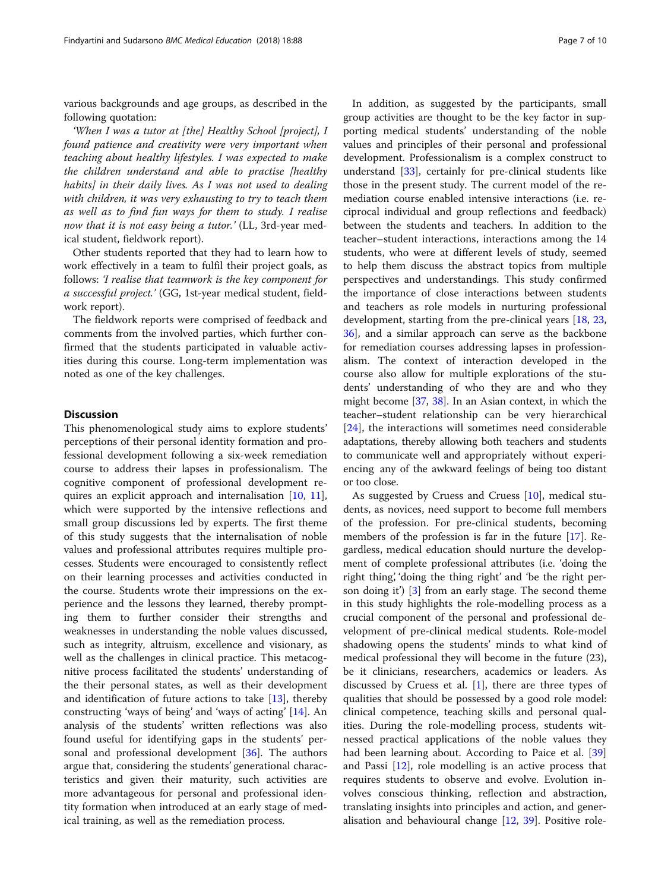various backgrounds and age groups, as described in the following quotation:

'When I was a tutor at [the] Healthy School [project], I found patience and creativity were very important when teaching about healthy lifestyles. I was expected to make the children understand and able to practise [healthy habits] in their daily lives. As I was not used to dealing with children, it was very exhausting to try to teach them as well as to find fun ways for them to study. I realise now that it is not easy being a tutor.' (LL, 3rd-year medical student, fieldwork report).

Other students reported that they had to learn how to work effectively in a team to fulfil their project goals, as follows: 'I realise that teamwork is the key component for a successful project.' (GG, 1st-year medical student, fieldwork report).

The fieldwork reports were comprised of feedback and comments from the involved parties, which further confirmed that the students participated in valuable activities during this course. Long-term implementation was noted as one of the key challenges.

## **Discussion**

This phenomenological study aims to explore students' perceptions of their personal identity formation and professional development following a six-week remediation course to address their lapses in professionalism. The cognitive component of professional development requires an explicit approach and internalisation [\[10](#page-9-0), [11](#page-9-0)], which were supported by the intensive reflections and small group discussions led by experts. The first theme of this study suggests that the internalisation of noble values and professional attributes requires multiple processes. Students were encouraged to consistently reflect on their learning processes and activities conducted in the course. Students wrote their impressions on the experience and the lessons they learned, thereby prompting them to further consider their strengths and weaknesses in understanding the noble values discussed, such as integrity, altruism, excellence and visionary, as well as the challenges in clinical practice. This metacognitive process facilitated the students' understanding of the their personal states, as well as their development and identification of future actions to take [\[13](#page-9-0)], thereby constructing 'ways of being' and 'ways of acting' [\[14\]](#page-9-0). An analysis of the students' written reflections was also found useful for identifying gaps in the students' personal and professional development [\[36](#page-9-0)]. The authors argue that, considering the students' generational characteristics and given their maturity, such activities are more advantageous for personal and professional identity formation when introduced at an early stage of medical training, as well as the remediation process.

In addition, as suggested by the participants, small group activities are thought to be the key factor in supporting medical students' understanding of the noble values and principles of their personal and professional development. Professionalism is a complex construct to understand [[33](#page-9-0)], certainly for pre-clinical students like those in the present study. The current model of the remediation course enabled intensive interactions (i.e. reciprocal individual and group reflections and feedback) between the students and teachers. In addition to the teacher–student interactions, interactions among the 14 students, who were at different levels of study, seemed to help them discuss the abstract topics from multiple perspectives and understandings. This study confirmed the importance of close interactions between students and teachers as role models in nurturing professional development, starting from the pre-clinical years [[18](#page-9-0), [23](#page-9-0), [36\]](#page-9-0), and a similar approach can serve as the backbone for remediation courses addressing lapses in professionalism. The context of interaction developed in the course also allow for multiple explorations of the students' understanding of who they are and who they might become [[37](#page-9-0), [38](#page-9-0)]. In an Asian context, in which the teacher–student relationship can be very hierarchical [[24](#page-9-0)], the interactions will sometimes need considerable adaptations, thereby allowing both teachers and students to communicate well and appropriately without experiencing any of the awkward feelings of being too distant or too close.

As suggested by Cruess and Cruess [\[10](#page-9-0)], medical students, as novices, need support to become full members of the profession. For pre-clinical students, becoming members of the profession is far in the future [[17](#page-9-0)]. Regardless, medical education should nurture the development of complete professional attributes (i.e. 'doing the right thing', 'doing the thing right' and 'be the right person doing it')  $[3]$  $[3]$  from an early stage. The second theme in this study highlights the role-modelling process as a crucial component of the personal and professional development of pre-clinical medical students. Role-model shadowing opens the students' minds to what kind of medical professional they will become in the future (23), be it clinicians, researchers, academics or leaders. As discussed by Cruess et al. [[1](#page-8-0)], there are three types of qualities that should be possessed by a good role model: clinical competence, teaching skills and personal qualities. During the role-modelling process, students witnessed practical applications of the noble values they had been learning about. According to Paice et al. [[39](#page-9-0)] and Passi [\[12](#page-9-0)], role modelling is an active process that requires students to observe and evolve. Evolution involves conscious thinking, reflection and abstraction, translating insights into principles and action, and generalisation and behavioural change [[12](#page-9-0), [39](#page-9-0)]. Positive role-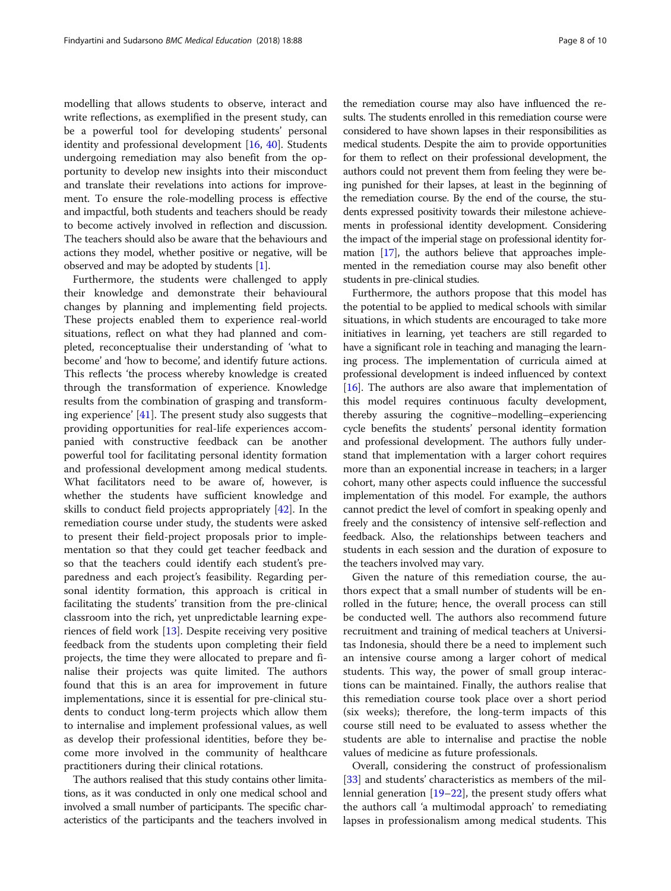modelling that allows students to observe, interact and write reflections, as exemplified in the present study, can be a powerful tool for developing students' personal identity and professional development [\[16,](#page-9-0) [40](#page-9-0)]. Students undergoing remediation may also benefit from the opportunity to develop new insights into their misconduct and translate their revelations into actions for improvement. To ensure the role-modelling process is effective and impactful, both students and teachers should be ready to become actively involved in reflection and discussion. The teachers should also be aware that the behaviours and actions they model, whether positive or negative, will be observed and may be adopted by students [[1\]](#page-8-0).

Furthermore, the students were challenged to apply their knowledge and demonstrate their behavioural changes by planning and implementing field projects. These projects enabled them to experience real-world situations, reflect on what they had planned and completed, reconceptualise their understanding of 'what to become' and 'how to become', and identify future actions. This reflects 'the process whereby knowledge is created through the transformation of experience. Knowledge results from the combination of grasping and transforming experience' [[41\]](#page-9-0). The present study also suggests that providing opportunities for real-life experiences accompanied with constructive feedback can be another powerful tool for facilitating personal identity formation and professional development among medical students. What facilitators need to be aware of, however, is whether the students have sufficient knowledge and skills to conduct field projects appropriately [[42\]](#page-9-0). In the remediation course under study, the students were asked to present their field-project proposals prior to implementation so that they could get teacher feedback and so that the teachers could identify each student's preparedness and each project's feasibility. Regarding personal identity formation, this approach is critical in facilitating the students' transition from the pre-clinical classroom into the rich, yet unpredictable learning experiences of field work [\[13\]](#page-9-0). Despite receiving very positive feedback from the students upon completing their field projects, the time they were allocated to prepare and finalise their projects was quite limited. The authors found that this is an area for improvement in future implementations, since it is essential for pre-clinical students to conduct long-term projects which allow them to internalise and implement professional values, as well as develop their professional identities, before they become more involved in the community of healthcare practitioners during their clinical rotations.

The authors realised that this study contains other limitations, as it was conducted in only one medical school and involved a small number of participants. The specific characteristics of the participants and the teachers involved in

the remediation course may also have influenced the results. The students enrolled in this remediation course were considered to have shown lapses in their responsibilities as medical students. Despite the aim to provide opportunities for them to reflect on their professional development, the authors could not prevent them from feeling they were being punished for their lapses, at least in the beginning of the remediation course. By the end of the course, the students expressed positivity towards their milestone achievements in professional identity development. Considering the impact of the imperial stage on professional identity formation [\[17\]](#page-9-0), the authors believe that approaches implemented in the remediation course may also benefit other students in pre-clinical studies.

Furthermore, the authors propose that this model has the potential to be applied to medical schools with similar situations, in which students are encouraged to take more initiatives in learning, yet teachers are still regarded to have a significant role in teaching and managing the learning process. The implementation of curricula aimed at professional development is indeed influenced by context [[16](#page-9-0)]. The authors are also aware that implementation of this model requires continuous faculty development, thereby assuring the cognitive–modelling–experiencing cycle benefits the students' personal identity formation and professional development. The authors fully understand that implementation with a larger cohort requires more than an exponential increase in teachers; in a larger cohort, many other aspects could influence the successful implementation of this model. For example, the authors cannot predict the level of comfort in speaking openly and freely and the consistency of intensive self-reflection and feedback. Also, the relationships between teachers and students in each session and the duration of exposure to the teachers involved may vary.

Given the nature of this remediation course, the authors expect that a small number of students will be enrolled in the future; hence, the overall process can still be conducted well. The authors also recommend future recruitment and training of medical teachers at Universitas Indonesia, should there be a need to implement such an intensive course among a larger cohort of medical students. This way, the power of small group interactions can be maintained. Finally, the authors realise that this remediation course took place over a short period (six weeks); therefore, the long-term impacts of this course still need to be evaluated to assess whether the students are able to internalise and practise the noble values of medicine as future professionals.

Overall, considering the construct of professionalism [[33\]](#page-9-0) and students' characteristics as members of the millennial generation  $[19-22]$  $[19-22]$  $[19-22]$  $[19-22]$  $[19-22]$ , the present study offers what the authors call 'a multimodal approach' to remediating lapses in professionalism among medical students. This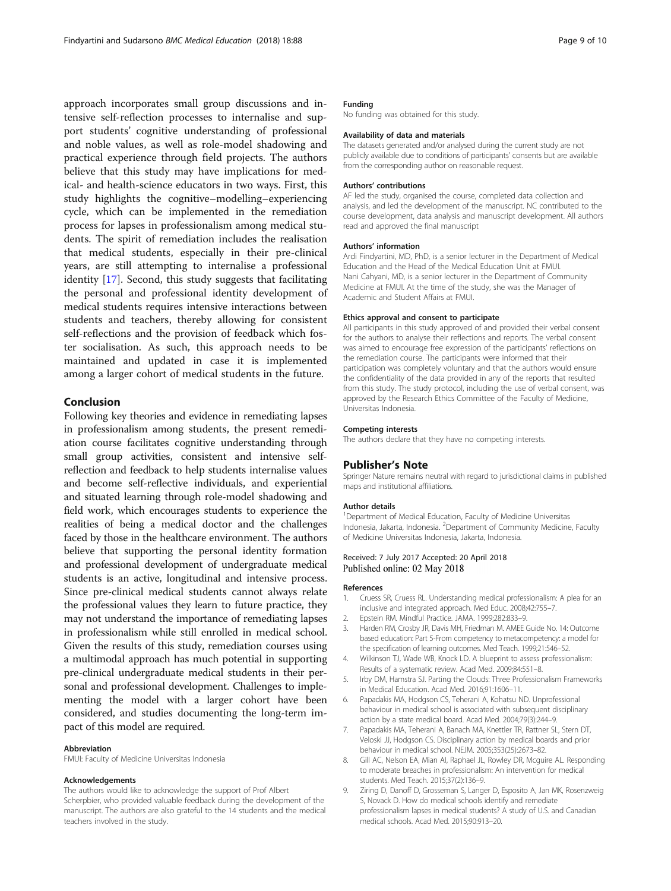<span id="page-8-0"></span>approach incorporates small group discussions and intensive self-reflection processes to internalise and support students' cognitive understanding of professional and noble values, as well as role-model shadowing and practical experience through field projects. The authors believe that this study may have implications for medical- and health-science educators in two ways. First, this study highlights the cognitive–modelling–experiencing cycle, which can be implemented in the remediation process for lapses in professionalism among medical students. The spirit of remediation includes the realisation that medical students, especially in their pre-clinical years, are still attempting to internalise a professional identity [\[17\]](#page-9-0). Second, this study suggests that facilitating the personal and professional identity development of medical students requires intensive interactions between students and teachers, thereby allowing for consistent self-reflections and the provision of feedback which foster socialisation. As such, this approach needs to be maintained and updated in case it is implemented among a larger cohort of medical students in the future.

## Conclusion

Following key theories and evidence in remediating lapses in professionalism among students, the present remediation course facilitates cognitive understanding through small group activities, consistent and intensive selfreflection and feedback to help students internalise values and become self-reflective individuals, and experiential and situated learning through role-model shadowing and field work, which encourages students to experience the realities of being a medical doctor and the challenges faced by those in the healthcare environment. The authors believe that supporting the personal identity formation and professional development of undergraduate medical students is an active, longitudinal and intensive process. Since pre-clinical medical students cannot always relate the professional values they learn to future practice, they may not understand the importance of remediating lapses in professionalism while still enrolled in medical school. Given the results of this study, remediation courses using a multimodal approach has much potential in supporting pre-clinical undergraduate medical students in their personal and professional development. Challenges to implementing the model with a larger cohort have been considered, and studies documenting the long-term impact of this model are required.

## Abbreviation

FMUI: Faculty of Medicine Universitas Indonesia

## Acknowledgements

The authors would like to acknowledge the support of Prof Albert Scherpbier, who provided valuable feedback during the development of the manuscript. The authors are also grateful to the 14 students and the medical teachers involved in the study.

## Funding

No funding was obtained for this study.

#### Availability of data and materials

The datasets generated and/or analysed during the current study are not publicly available due to conditions of participants' consents but are available from the corresponding author on reasonable request.

#### Authors' contributions

AF led the study, organised the course, completed data collection and analysis, and led the development of the manuscript. NC contributed to the course development, data analysis and manuscript development. All authors read and approved the final manuscript

#### Authors' information

Ardi Findyartini, MD, PhD, is a senior lecturer in the Department of Medical Education and the Head of the Medical Education Unit at FMUI. Nani Cahyani, MD, is a senior lecturer in the Department of Community Medicine at FMUI. At the time of the study, she was the Manager of Academic and Student Affairs at FMUI.

#### Ethics approval and consent to participate

All participants in this study approved of and provided their verbal consent for the authors to analyse their reflections and reports. The verbal consent was aimed to encourage free expression of the participants' reflections on the remediation course. The participants were informed that their participation was completely voluntary and that the authors would ensure the confidentiality of the data provided in any of the reports that resulted from this study. The study protocol, including the use of verbal consent, was approved by the Research Ethics Committee of the Faculty of Medicine, Universitas Indonesia.

#### Competing interests

The authors declare that they have no competing interests.

#### Publisher's Note

Springer Nature remains neutral with regard to jurisdictional claims in published maps and institutional affiliations.

#### Author details

<sup>1</sup>Department of Medical Education, Faculty of Medicine Universitas Indonesia, Jakarta, Indonesia. <sup>2</sup>Department of Community Medicine, Faculty of Medicine Universitas Indonesia, Jakarta, Indonesia.

## Received: 7 July 2017 Accepted: 20 April 2018 Published online: 02 May 2018

#### References

- 1. Cruess SR, Cruess RL. Understanding medical professionalism: A plea for an inclusive and integrated approach. Med Educ. 2008;42:755–7.
- 2. Epstein RM. Mindful Practice. JAMA. 1999;282:833–9.
- Harden RM, Crosby JR, Davis MH, Friedman M. AMEE Guide No. 14: Outcome based education: Part 5-From competency to metacompetency: a model for the specification of learning outcomes. Med Teach. 1999;21:546–52.
- Wilkinson TJ, Wade WB, Knock LD. A blueprint to assess professionalism: Results of a systematic review. Acad Med. 2009;84:551–8.
- 5. Irby DM, Hamstra SJ. Parting the Clouds: Three Professionalism Frameworks in Medical Education. Acad Med. 2016;91:1606–11.
- 6. Papadakis MA, Hodgson CS, Teherani A, Kohatsu ND. Unprofessional behaviour in medical school is associated with subsequent disciplinary action by a state medical board. Acad Med. 2004;79(3):244–9.
- Papadakis MA, Teherani A, Banach MA, Knettler TR, Rattner SL, Stern DT, Veloski JJ, Hodgson CS. Disciplinary action by medical boards and prior behaviour in medical school. NEJM. 2005;353(25):2673–82.
- 8. Gill AC, Nelson EA, Mian AI, Raphael JL, Rowley DR, Mcguire AL. Responding to moderate breaches in professionalism: An intervention for medical students. Med Teach. 2015;37(2):136–9.
- 9. Ziring D, Danoff D, Grosseman S, Langer D, Esposito A, Jan MK, Rosenzweig S, Novack D. How do medical schools identify and remediate professionalism lapses in medical students? A study of U.S. and Canadian medical schools. Acad Med. 2015;90:913–20.